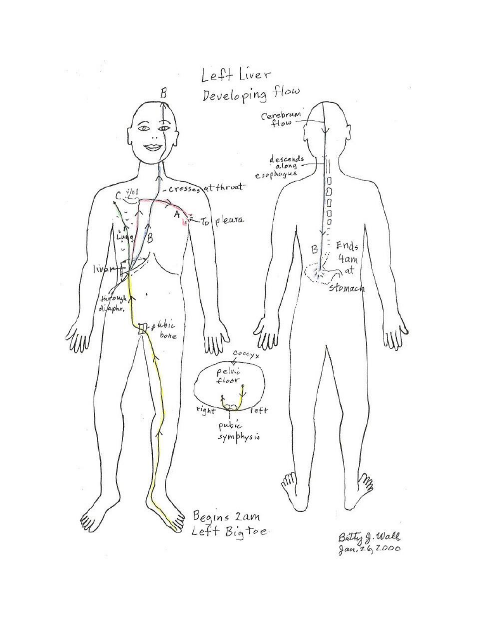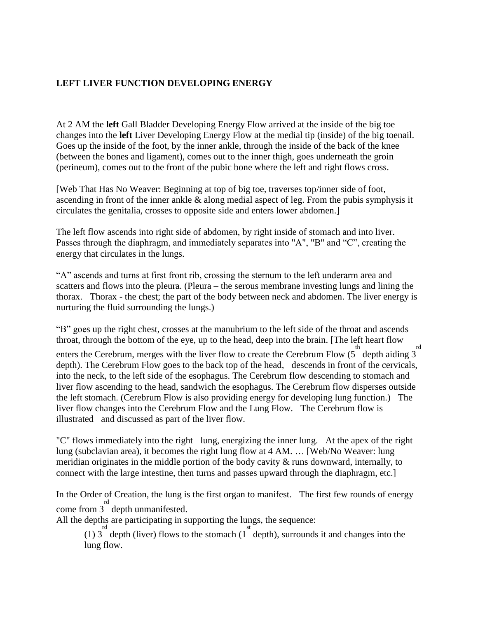## **LEFT LIVER FUNCTION DEVELOPING ENERGY**

At 2 AM the **left** Gall Bladder Developing Energy Flow arrived at the inside of the big toe changes into the **left** Liver Developing Energy Flow at the medial tip (inside) of the big toenail. Goes up the inside of the foot, by the inner ankle, through the inside of the back of the knee (between the bones and ligament), comes out to the inner thigh, goes underneath the groin (perineum), comes out to the front of the pubic bone where the left and right flows cross.

[Web That Has No Weaver: Beginning at top of big toe, traverses top/inner side of foot, ascending in front of the inner ankle & along medial aspect of leg. From the pubis symphysis it circulates the genitalia, crosses to opposite side and enters lower abdomen.]

The left flow ascends into right side of abdomen, by right inside of stomach and into liver. Passes through the diaphragm, and immediately separates into "A", "B" and "C", creating the energy that circulates in the lungs.

"A" ascends and turns at first front rib, crossing the sternum to the left underarm area and scatters and flows into the pleura. (Pleura – the serous membrane investing lungs and lining the thorax. Thorax - the chest; the part of the body between neck and abdomen. The liver energy is nurturing the fluid surrounding the lungs.)

"B" goes up the right chest, crosses at the manubrium to the left side of the throat and ascends throat, through the bottom of the eye, up to the head, deep into the brain. [The left heart flow

enters the Cerebrum, merges with the liver flow to create the Cerebrum Flow  $(5^{\text{th}}$  depth aiding 3 rd depth). The Cerebrum Flow goes to the back top of the head, descends in front of the cervicals, into the neck, to the left side of the esophagus. The Cerebrum flow descending to stomach and liver flow ascending to the head, sandwich the esophagus. The Cerebrum flow disperses outside the left stomach. (Cerebrum Flow is also providing energy for developing lung function.) The liver flow changes into the Cerebrum Flow and the Lung Flow. The Cerebrum flow is illustrated and discussed as part of the liver flow.

"C" flows immediately into the right lung, energizing the inner lung. At the apex of the right lung (subclavian area), it becomes the right lung flow at 4 AM. … [Web/No Weaver: lung meridian originates in the middle portion of the body cavity & runs downward, internally, to connect with the large intestine, then turns and passes upward through the diaphragm, etc.]

In the Order of Creation, the lung is the first organ to manifest. The first few rounds of energy come from  $3^{\text{rd}}$  depth unmanifested.

All the depths are participating in supporting the lungs, the sequence:

(1)  $3^{\text{rd}}$  depth (liver) flows to the stomach (1<sup>st</sup> depth), surrounds it and changes into the lung flow.